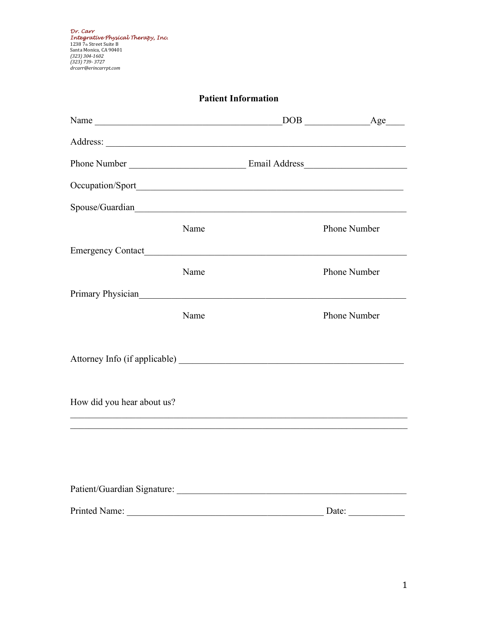*Dr. Carr Integrative Physical Therapy, Inc.*<br>1238 7th Street Suite B<br>Santa Monica, CA 90401<br>*(323) 304-1602<br>(323) 739- 3727<br>drcarr@erincarrpt.com* 

| <b>Patient Information</b> |      |  |                       |
|----------------------------|------|--|-----------------------|
|                            |      |  | DOB Age               |
|                            |      |  |                       |
|                            |      |  |                       |
|                            |      |  |                       |
| Spouse/Guardian            |      |  |                       |
|                            | Name |  | <b>Phone Number</b>   |
|                            |      |  |                       |
|                            | Name |  | <b>Phone Number</b>   |
| Primary Physician          |      |  |                       |
|                            | Name |  | <b>Phone Number</b>   |
|                            |      |  |                       |
|                            |      |  |                       |
|                            |      |  |                       |
| How did you hear about us? |      |  |                       |
|                            |      |  |                       |
|                            |      |  |                       |
|                            |      |  |                       |
|                            |      |  |                       |
| Printed Name:              |      |  | Date: $\qquad \qquad$ |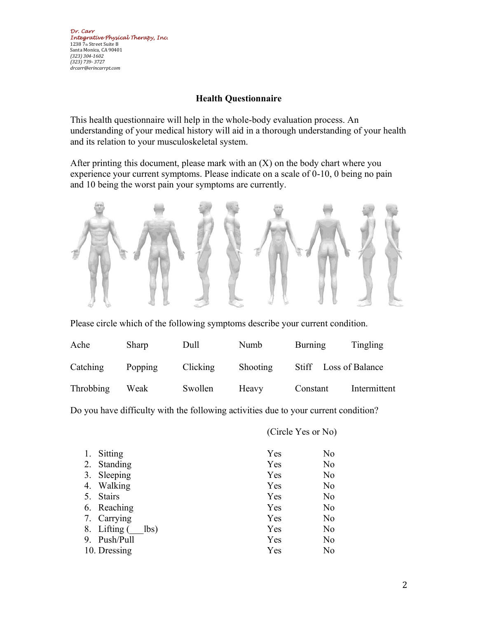## **Health Questionnaire**

This health questionnaire will help in the whole-body evaluation process. An understanding of your medical history will aid in a thorough understanding of your health and its relation to your musculoskeletal system.

After printing this document, please mark with an  $(X)$  on the body chart where you experience your current symptoms. Please indicate on a scale of 0-10, 0 being no pain and 10 being the worst pain your symptoms are currently.



Please circle which of the following symptoms describe your current condition.

| Ache             | Sharp   | Dull     | Numb     | Burning               | Tingling     |
|------------------|---------|----------|----------|-----------------------|--------------|
| Catching         | Popping | Clicking | Shooting | Stiff Loss of Balance |              |
| <b>Throbbing</b> | Weak    | Swollen  | Heavy    | Constant              | Intermittent |

Do you have difficulty with the following activities due to your current condition?

(Circle Yes or No)

| 1. | Sitting              | Yes | No |
|----|----------------------|-----|----|
|    | 2. Standing          | Yes | No |
|    | 3. Sleeping          | Yes | No |
| 4. | Walking              | Yes | No |
|    | 5. Stairs            | Yes | No |
|    | 6. Reaching          | Yes | No |
|    | 7. Carrying          | Yes | No |
|    | 8. Lifting (<br>lbs) | Yes | No |
| 9. | Push/Pull            | Yes | No |
|    | 10. Dressing         | Yes | No |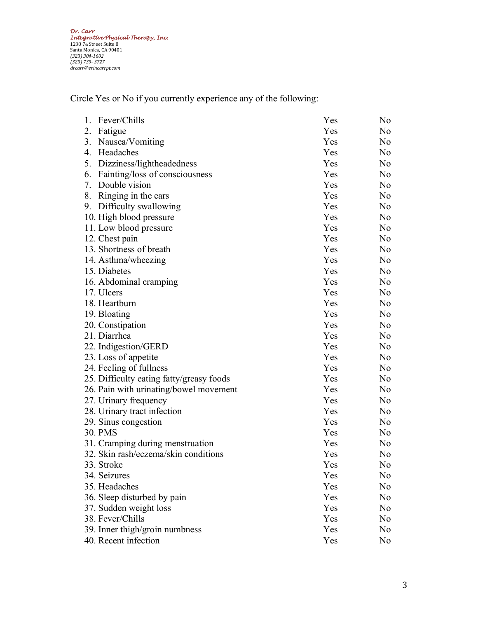*Dr. Carr Integrative Physical Therapy, Inc.*<br>1238 7th Street Suite B<br>Santa Monica, CA 90401<br>*(323) 304-1602<br>(323) 739- 3727<br>drcarr@erincarrpt.com* 

Circle Yes or No if you currently experience any of the following:

| Fever/Chills<br>1.                       | Yes | No             |
|------------------------------------------|-----|----------------|
| 2.<br>Fatigue                            | Yes | N <sub>o</sub> |
| 3.<br>Nausea/Vomiting                    | Yes | No             |
| 4.<br>Headaches                          | Yes | No             |
| 5.<br>Dizziness/lightheadedness          | Yes | N <sub>o</sub> |
| 6.<br>Fainting/loss of consciousness     | Yes | N <sub>o</sub> |
| Double vision<br>7.                      | Yes | N <sub>o</sub> |
| 8.<br>Ringing in the ears                | Yes | No             |
| Difficulty swallowing<br>9.              | Yes | No             |
| 10. High blood pressure                  | Yes | N <sub>o</sub> |
| 11. Low blood pressure                   | Yes | No             |
| 12. Chest pain                           | Yes | N <sub>o</sub> |
| 13. Shortness of breath                  | Yes | N <sub>o</sub> |
| 14. Asthma/wheezing                      | Yes | N <sub>o</sub> |
| 15. Diabetes                             | Yes | N <sub>o</sub> |
| 16. Abdominal cramping                   | Yes | N <sub>o</sub> |
| 17. Ulcers                               | Yes | No             |
| 18. Heartburn                            | Yes | No             |
| 19. Bloating                             | Yes | No             |
| 20. Constipation                         | Yes | N <sub>o</sub> |
| 21. Diarrhea                             | Yes | N <sub>o</sub> |
| 22. Indigestion/GERD                     | Yes | N <sub>o</sub> |
| 23. Loss of appetite                     | Yes | No             |
| 24. Feeling of fullness                  | Yes | No             |
| 25. Difficulty eating fatty/greasy foods | Yes | N <sub>o</sub> |
| 26. Pain with urinating/bowel movement   | Yes | N <sub>o</sub> |
| 27. Urinary frequency                    | Yes | N <sub>o</sub> |
| 28. Urinary tract infection              | Yes | No             |
| 29. Sinus congestion                     | Yes | N <sub>o</sub> |
| 30. PMS                                  | Yes | N <sub>o</sub> |
| 31. Cramping during menstruation         | Yes | N <sub>o</sub> |
| 32. Skin rash/eczema/skin conditions     | Yes | No             |
| 33. Stroke                               | Yes | No             |
| 34. Seizures                             | Yes | No             |
| 35. Headaches                            | Yes | N <sub>o</sub> |
| 36. Sleep disturbed by pain              | Yes | No             |
| 37. Sudden weight loss                   | Yes | No             |
| 38. Fever/Chills                         | Yes | No             |
| 39. Inner thigh/groin numbness           | Yes | No             |
| 40. Recent infection                     | Yes | No             |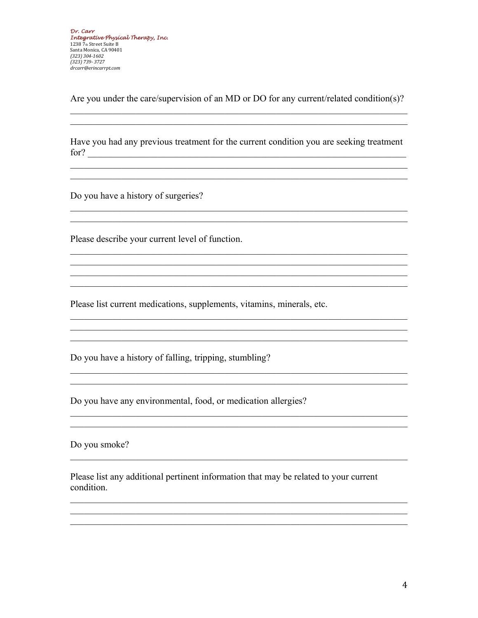Are you under the care/supervision of an MD or DO for any current/related condition(s)?

Have you had any previous treatment for the current condition you are seeking treatment  $\int$  for?

<u> 1989 - Johann John Stein, mars an deutscher Stein und der Stein und der Stein und der Stein und der Stein und</u>

Do you have a history of surgeries?

Please describe your current level of function.

Please list current medications, supplements, vitamins, minerals, etc.

Do you have a history of falling, tripping, stumbling?

Do you have any environmental, food, or medication allergies?

Do you smoke?

Please list any additional pertinent information that may be related to your current condition.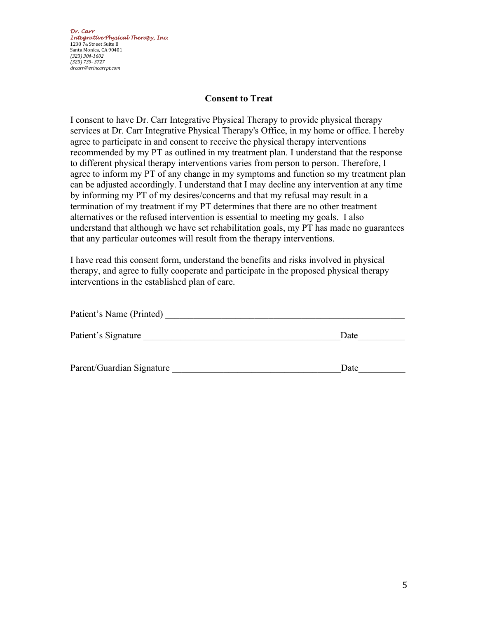*Dr. Carr Integrative Physical Therapy, Inc.*  1238 7th Street Suite B Santa Monica, CA 90401 *(323) 304-1602 (323) 739- 3727 drcarr@erincarrpt.com*

#### **Consent to Treat**

I consent to have Dr. Carr Integrative Physical Therapy to provide physical therapy services at Dr. Carr Integrative Physical Therapy's Office, in my home or office. I hereby agree to participate in and consent to receive the physical therapy interventions recommended by my PT as outlined in my treatment plan. I understand that the response to different physical therapy interventions varies from person to person. Therefore, I agree to inform my PT of any change in my symptoms and function so my treatment plan can be adjusted accordingly. I understand that I may decline any intervention at any time by informing my PT of my desires/concerns and that my refusal may result in a termination of my treatment if my PT determines that there are no other treatment alternatives or the refused intervention is essential to meeting my goals. I also understand that although we have set rehabilitation goals, my PT has made no guarantees that any particular outcomes will result from the therapy interventions.

I have read this consent form, understand the benefits and risks involved in physical therapy, and agree to fully cooperate and participate in the proposed physical therapy interventions in the established plan of care.

| Patient's Name (Printed)  |      |
|---------------------------|------|
| Patient's Signature       | Date |
| Parent/Guardian Signature | Date |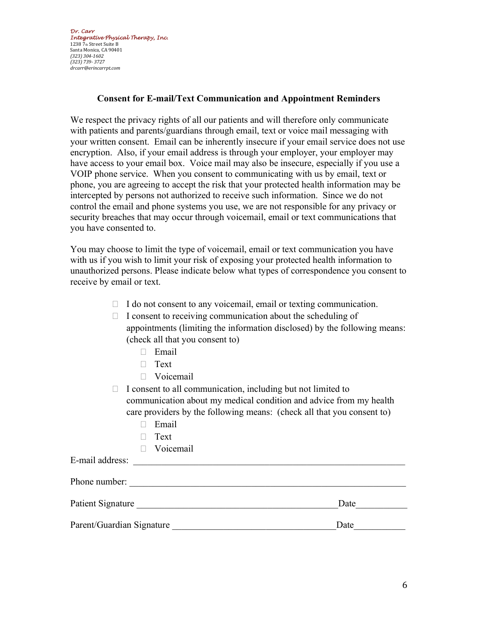*Dr. Carr Integrative Physical Therapy, Inc.*  1238 7th Street Suite B Santa Monica, CA 90401 *(323) 304-1602 (323) 739- 3727 drcarr@erincarrpt.com*

## **Consent for E-mail/Text Communication and Appointment Reminders**

We respect the privacy rights of all our patients and will therefore only communicate with patients and parents/guardians through email, text or voice mail messaging with your written consent. Email can be inherently insecure if your email service does not use encryption. Also, if your email address is through your employer, your employer may have access to your email box. Voice mail may also be insecure, especially if you use a VOIP phone service. When you consent to communicating with us by email, text or phone, you are agreeing to accept the risk that your protected health information may be intercepted by persons not authorized to receive such information. Since we do not control the email and phone systems you use, we are not responsible for any privacy or security breaches that may occur through voicemail, email or text communications that you have consented to.

You may choose to limit the type of voicemail, email or text communication you have with us if you wish to limit your risk of exposing your protected health information to unauthorized persons. Please indicate below what types of correspondence you consent to receive by email or text.

- $\Box$  I do not consent to any voicemail, email or texting communication.
- $\Box$  I consent to receiving communication about the scheduling of appointments (limiting the information disclosed) by the following means: (check all that you consent to)
	- Email
	- $\Box$  Text
	- **D** Voicemail
- $\Box$  I consent to all communication, including but not limited to communication about my medical condition and advice from my health care providers by the following means: (check all that you consent to)
	- Email
	- $\Box$  Text
	- Voicemail

E-mail address:

| Phone number:             |      |
|---------------------------|------|
| Patient Signature         | Date |
| Parent/Guardian Signature | Date |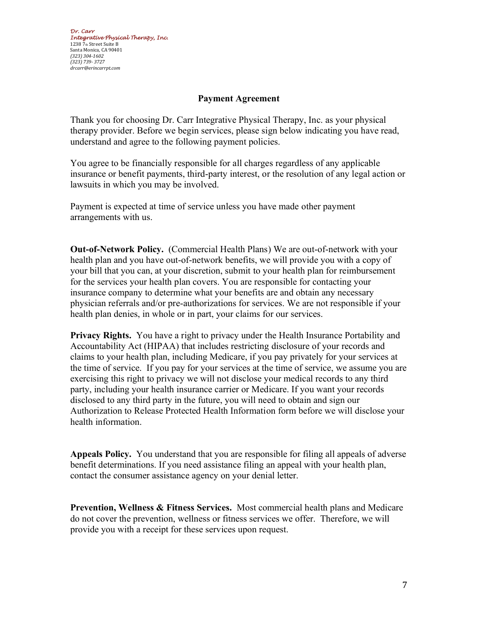# **Payment Agreement**

Thank you for choosing Dr. Carr Integrative Physical Therapy, Inc. as your physical therapy provider. Before we begin services, please sign below indicating you have read, understand and agree to the following payment policies.

You agree to be financially responsible for all charges regardless of any applicable insurance or benefit payments, third-party interest, or the resolution of any legal action or lawsuits in which you may be involved.

Payment is expected at time of service unless you have made other payment arrangements with us.

**Out-of-Network Policy.** (Commercial Health Plans) We are out-of-network with your health plan and you have out-of-network benefits, we will provide you with a copy of your bill that you can, at your discretion, submit to your health plan for reimbursement for the services your health plan covers. You are responsible for contacting your insurance company to determine what your benefits are and obtain any necessary physician referrals and/or pre-authorizations for services. We are not responsible if your health plan denies, in whole or in part, your claims for our services.

**Privacy Rights.** You have a right to privacy under the Health Insurance Portability and Accountability Act (HIPAA) that includes restricting disclosure of your records and claims to your health plan, including Medicare, if you pay privately for your services at the time of service. If you pay for your services at the time of service, we assume you are exercising this right to privacy we will not disclose your medical records to any third party, including your health insurance carrier or Medicare. If you want your records disclosed to any third party in the future, you will need to obtain and sign our Authorization to Release Protected Health Information form before we will disclose your health information.

**Appeals Policy.** You understand that you are responsible for filing all appeals of adverse benefit determinations. If you need assistance filing an appeal with your health plan, contact the consumer assistance agency on your denial letter.

**Prevention, Wellness & Fitness Services.** Most commercial health plans and Medicare do not cover the prevention, wellness or fitness services we offer. Therefore, we will provide you with a receipt for these services upon request.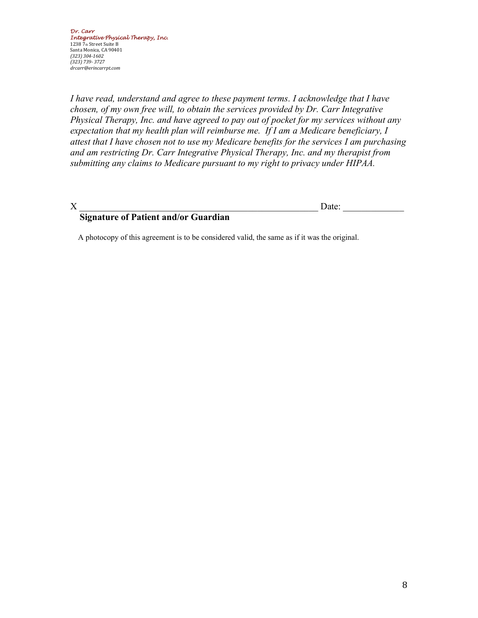*I have read, understand and agree to these payment terms. I acknowledge that I have chosen, of my own free will, to obtain the services provided by Dr. Carr Integrative Physical Therapy, Inc. and have agreed to pay out of pocket for my services without any expectation that my health plan will reimburse me. If I am a Medicare beneficiary, I attest that I have chosen not to use my Medicare benefits for the services I am purchasing and am restricting Dr. Carr Integrative Physical Therapy, Inc. and my therapist from submitting any claims to Medicare pursuant to my right to privacy under HIPAA.* 

 $X \sim$  Date:

# **Signature of Patient and/or Guardian**

A photocopy of this agreement is to be considered valid, the same as if it was the original.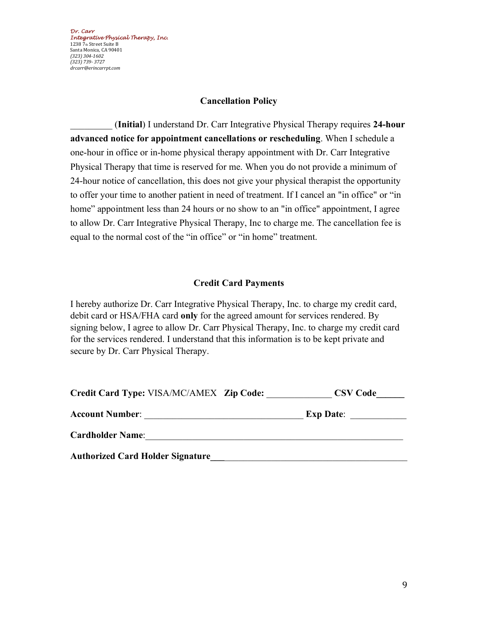*Dr. Carr Integrative Physical Therapy, Inc.*  1238 7th Street Suite B Santa Monica, CA 90401 *(323) 304-1602 (323) 739- 3727 drcarr@erincarrpt.com*

#### **Cancellation Policy**

\_\_\_\_\_\_\_\_\_ (**Initial**) I understand Dr. Carr Integrative Physical Therapy requires **24-hour advanced notice for appointment cancellations or rescheduling**. When I schedule a one-hour in office or in-home physical therapy appointment with Dr. Carr Integrative Physical Therapy that time is reserved for me. When you do not provide a minimum of 24-hour notice of cancellation, this does not give your physical therapist the opportunity to offer your time to another patient in need of treatment. If I cancel an "in office" or "in home" appointment less than 24 hours or no show to an "in office" appointment, I agree to allow Dr. Carr Integrative Physical Therapy, Inc to charge me. The cancellation fee is equal to the normal cost of the "in office" or "in home" treatment.

# **Credit Card Payments**

I hereby authorize Dr. Carr Integrative Physical Therapy, Inc. to charge my credit card, debit card or HSA/FHA card **only** for the agreed amount for services rendered. By signing below, I agree to allow Dr. Carr Physical Therapy, Inc. to charge my credit card for the services rendered. I understand that this information is to be kept private and secure by Dr. Carr Physical Therapy.

| Credit Card Type: VISA/MC/AMEX Zip Code: | <b>CSV Code</b>  |
|------------------------------------------|------------------|
| <b>Account Number:</b>                   | <b>Exp Date:</b> |
| <b>Cardholder Name:</b>                  |                  |
| <b>Authorized Card Holder Signature</b>  |                  |